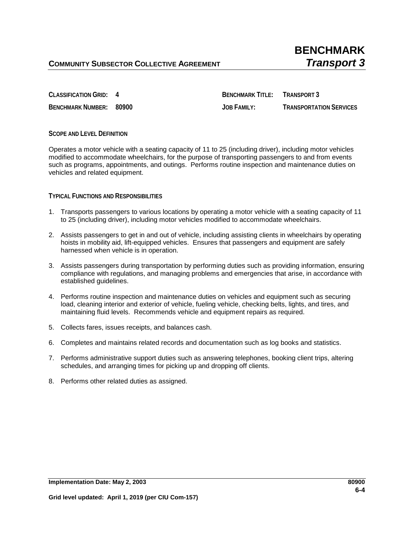**CLASSIFICATION GRID: 4 BENCHMARK TITLE: TRANSPORT 3 BENCHMARK NUMBER: 80900 JOB FAMILY: TRANSPORTATION SERVICES**

## **SCOPE AND LEVEL DEFINITION**

Operates a motor vehicle with a seating capacity of 11 to 25 (including driver), including motor vehicles modified to accommodate wheelchairs, for the purpose of transporting passengers to and from events such as programs, appointments, and outings. Performs routine inspection and maintenance duties on vehicles and related equipment.

## **TYPICAL FUNCTIONS AND RESPONSIBILITIES**

- 1. Transports passengers to various locations by operating a motor vehicle with a seating capacity of 11 to 25 (including driver), including motor vehicles modified to accommodate wheelchairs.
- 2. Assists passengers to get in and out of vehicle, including assisting clients in wheelchairs by operating hoists in mobility aid, lift-equipped vehicles. Ensures that passengers and equipment are safely harnessed when vehicle is in operation.
- 3. Assists passengers during transportation by performing duties such as providing information, ensuring compliance with regulations, and managing problems and emergencies that arise, in accordance with established guidelines.
- 4. Performs routine inspection and maintenance duties on vehicles and equipment such as securing load, cleaning interior and exterior of vehicle, fueling vehicle, checking belts, lights, and tires, and maintaining fluid levels. Recommends vehicle and equipment repairs as required.
- 5. Collects fares, issues receipts, and balances cash.
- 6. Completes and maintains related records and documentation such as log books and statistics.
- 7. Performs administrative support duties such as answering telephones, booking client trips, altering schedules, and arranging times for picking up and dropping off clients.
- 8. Performs other related duties as assigned.